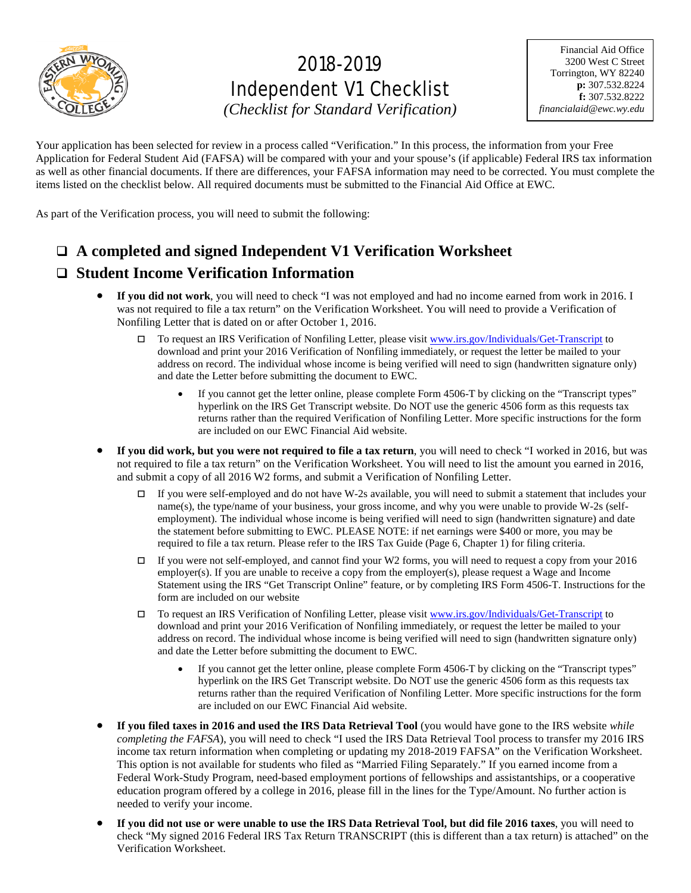

## 2018-2019 Independent V1 Checklist

Financial Aid Office 3200 West C Street Torrington, WY 82240 **p:** 307.532.8224 **f:** 307.532.8222 *financialaid@ewc.wy.edu*

*(Checklist for Standard Verification)*

Your application has been selected for review in a process called "Verification." In this process, the information from your Free Application for Federal Student Aid (FAFSA) will be compared with your and your spouse's (if applicable) Federal IRS tax information as well as other financial documents. If there are differences, your FAFSA information may need to be corrected. You must complete the items listed on the checklist below. All required documents must be submitted to the Financial Aid Office at EWC.

As part of the Verification process, you will need to submit the following:

## **A completed and signed Independent V1 Verification Worksheet**

## **Student Income Verification Information**

- **If you did not work**, you will need to check "I was not employed and had no income earned from work in 2016. I was not required to file a tax return" on the Verification Worksheet. You will need to provide a Verification of Nonfiling Letter that is dated on or after October 1, 2016.
	- To request an IRS Verification of Nonfiling Letter, please visit [www.irs.gov/Individuals/Get-Transcript](http://www.irs.gov/Individuals/Get-Transcript) to download and print your 2016 Verification of Nonfiling immediately, or request the letter be mailed to your address on record. The individual whose income is being verified will need to sign (handwritten signature only) and date the Letter before submitting the document to EWC.
		- If you cannot get the letter online, please complete Form 4506-T by clicking on the "Transcript types" hyperlink on the IRS Get Transcript website. Do NOT use the generic 4506 form as this requests tax returns rather than the required Verification of Nonfiling Letter. More specific instructions for the form are included on our EWC Financial Aid website.
- **If you did work, but you were not required to file a tax return**, you will need to check "I worked in 2016, but was not required to file a tax return" on the Verification Worksheet. You will need to list the amount you earned in 2016, and submit a copy of all 2016 W2 forms, and submit a Verification of Nonfiling Letter.
	- If you were self-employed and do not have W-2s available, you will need to submit a statement that includes your name(s), the type/name of your business, your gross income, and why you were unable to provide W-2s (selfemployment). The individual whose income is being verified will need to sign (handwritten signature) and date the statement before submitting to EWC. PLEASE NOTE: if net earnings were \$400 or more, you may be required to file a tax return. Please refer to the IRS Tax Guide (Page 6, Chapter 1) for filing criteria.
	- If you were not self-employed, and cannot find your W2 forms, you will need to request a copy from your 2016 employer(s). If you are unable to receive a copy from the employer(s), please request a Wage and Income Statement using the IRS "Get Transcript Online" feature, or by completing IRS Form 4506-T. Instructions for the form are included on our website
	- To request an IRS Verification of Nonfiling Letter, please visit [www.irs.gov/Individuals/Get-Transcript](http://www.irs.gov/Individuals/Get-Transcript) to download and print your 2016 Verification of Nonfiling immediately, or request the letter be mailed to your address on record. The individual whose income is being verified will need to sign (handwritten signature only) and date the Letter before submitting the document to EWC.
		- If you cannot get the letter online, please complete Form 4506-T by clicking on the "Transcript types" hyperlink on the IRS Get Transcript website. Do NOT use the generic 4506 form as this requests tax returns rather than the required Verification of Nonfiling Letter. More specific instructions for the form are included on our EWC Financial Aid website.
- **If you filed taxes in 2016 and used the IRS Data Retrieval Tool** (you would have gone to the IRS website *while completing the FAFSA*), you will need to check "I used the IRS Data Retrieval Tool process to transfer my 2016 IRS income tax return information when completing or updating my 2018-2019 FAFSA" on the Verification Worksheet. This option is not available for students who filed as "Married Filing Separately." If you earned income from a Federal Work-Study Program, need-based employment portions of fellowships and assistantships, or a cooperative education program offered by a college in 2016, please fill in the lines for the Type/Amount. No further action is needed to verify your income.
- **If you did not use or were unable to use the IRS Data Retrieval Tool, but did file 2016 taxes**, you will need to check "My signed 2016 Federal IRS Tax Return TRANSCRIPT (this is different than a tax return) is attached" on the Verification Worksheet.